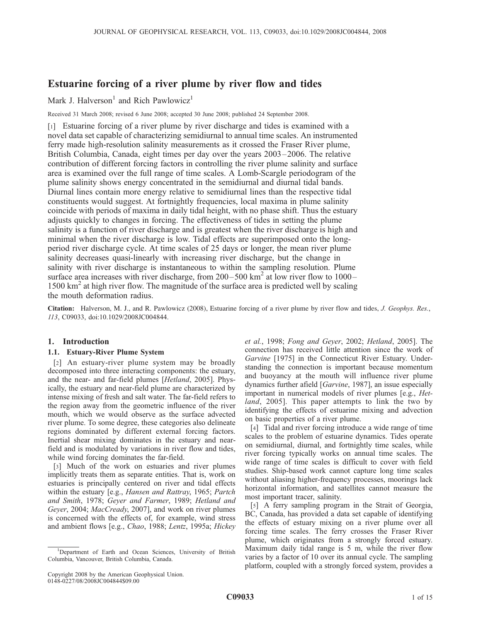# Estuarine forcing of a river plume by river flow and tides

# Mark J. Halverson<sup>1</sup> and Rich Pawlowicz<sup>1</sup>

Received 31 March 2008; revised 6 June 2008; accepted 30 June 2008; published 24 September 2008.

[1] Estuarine forcing of a river plume by river discharge and tides is examined with a novel data set capable of characterizing semidiurnal to annual time scales. An instrumented ferry made high-resolution salinity measurements as it crossed the Fraser River plume, British Columbia, Canada, eight times per day over the years 2003–2006. The relative contribution of different forcing factors in controlling the river plume salinity and surface area is examined over the full range of time scales. A Lomb-Scargle periodogram of the plume salinity shows energy concentrated in the semidiurnal and diurnal tidal bands. Diurnal lines contain more energy relative to semidiurnal lines than the respective tidal constituents would suggest. At fortnightly frequencies, local maxima in plume salinity coincide with periods of maxima in daily tidal height, with no phase shift. Thus the estuary adjusts quickly to changes in forcing. The effectiveness of tides in setting the plume salinity is a function of river discharge and is greatest when the river discharge is high and minimal when the river discharge is low. Tidal effects are superimposed onto the longperiod river discharge cycle. At time scales of 25 days or longer, the mean river plume salinity decreases quasi-linearly with increasing river discharge, but the change in salinity with river discharge is instantaneous to within the sampling resolution. Plume surface area increases with river discharge, from  $200-500$  km<sup>2</sup> at low river flow to  $1000 1500 \text{ km}^2$  at high river flow. The magnitude of the surface area is predicted well by scaling the mouth deformation radius.

Citation: Halverson, M. J., and R. Pawlowicz (2008), Estuarine forcing of a river plume by river flow and tides, J. Geophys. Res., 113, C09033, doi:10.1029/2008JC004844.

# 1. Introduction

# 1.1. Estuary-River Plume System

[2] An estuary-river plume system may be broadly decomposed into three interacting components: the estuary, and the near- and far-field plumes [Hetland, 2005]. Physically, the estuary and near-field plume are characterized by intense mixing of fresh and salt water. The far-field refers to the region away from the geometric influence of the river mouth, which we would observe as the surface advected river plume. To some degree, these categories also delineate regions dominated by different external forcing factors. Inertial shear mixing dominates in the estuary and nearfield and is modulated by variations in river flow and tides, while wind forcing dominates the far-field.

[3] Much of the work on estuaries and river plumes implicitly treats them as separate entities. That is, work on estuaries is principally centered on river and tidal effects within the estuary [e.g., Hansen and Rattray, 1965; Partch and Smith, 1978; Geyer and Farmer, 1989; Hetland and Geyer, 2004; MacCready, 2007], and work on river plumes is concerned with the effects of, for example, wind stress and ambient flows [e.g., Chao, 1988; Lentz, 1995a; Hickey

et al., 1998; Fong and Geyer, 2002; Hetland, 2005]. The connection has received little attention since the work of Garvine [1975] in the Connecticut River Estuary. Understanding the connection is important because momentum and buoyancy at the mouth will influence river plume dynamics further afield [Garvine, 1987], an issue especially important in numerical models of river plumes [e.g., Hetland, 2005]. This paper attempts to link the two by identifying the effects of estuarine mixing and advection on basic properties of a river plume.

[4] Tidal and river forcing introduce a wide range of time scales to the problem of estuarine dynamics. Tides operate on semidiurnal, diurnal, and fortnightly time scales, while river forcing typically works on annual time scales. The wide range of time scales is difficult to cover with field studies. Ship-based work cannot capture long time scales without aliasing higher-frequency processes, moorings lack horizontal information, and satellites cannot measure the most important tracer, salinity.

[5] A ferry sampling program in the Strait of Georgia, BC, Canada, has provided a data set capable of identifying the effects of estuary mixing on a river plume over all forcing time scales. The ferry crosses the Fraser River plume, which originates from a strongly forced estuary. Maximum daily tidal range is 5 m, while the river flow varies by a factor of 10 over its annual cycle. The sampling platform, coupled with a strongly forced system, provides a

<sup>&</sup>lt;sup>1</sup>Department of Earth and Ocean Sciences, University of British Columbia, Vancouver, British Columbia, Canada.

Copyright 2008 by the American Geophysical Union. 0148-0227/08/2008JC004844\$09.00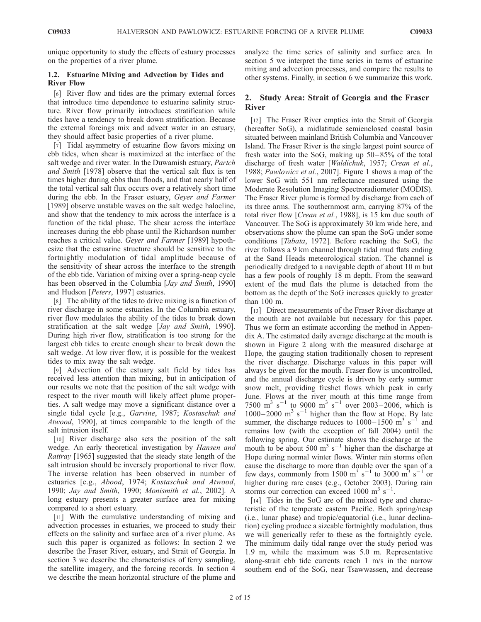unique opportunity to study the effects of estuary processes on the properties of a river plume.

# 1.2. Estuarine Mixing and Advection by Tides and River Flow

[6] River flow and tides are the primary external forces that introduce time dependence to estuarine salinity structure. River flow primarily introduces stratification while tides have a tendency to break down stratification. Because the external forcings mix and advect water in an estuary, they should affect basic properties of a river plume.

[7] Tidal asymmetry of estuarine flow favors mixing on ebb tides, when shear is maximized at the interface of the salt wedge and river water. In the Duwamish estuary, Partch and Smith [1978] observe that the vertical salt flux is ten times higher during ebbs than floods, and that nearly half of the total vertical salt flux occurs over a relatively short time during the ebb. In the Fraser estuary, Geyer and Farmer [1989] observe unstable waves on the salt wedge halocline, and show that the tendency to mix across the interface is a function of the tidal phase. The shear across the interface increases during the ebb phase until the Richardson number reaches a critical value. Geyer and Farmer [1989] hypothesize that the estuarine structure should be sensitive to the fortnightly modulation of tidal amplitude because of the sensitivity of shear across the interface to the strength of the ebb tide. Variation of mixing over a spring-neap cycle has been observed in the Columbia [Jay and Smith, 1990] and Hudson [Peters, 1997] estuaries.

[8] The ability of the tides to drive mixing is a function of river discharge in some estuaries. In the Columbia estuary, river flow modulates the ability of the tides to break down stratification at the salt wedge [Jay and Smith, 1990]. During high river flow, stratification is too strong for the largest ebb tides to create enough shear to break down the salt wedge. At low river flow, it is possible for the weakest tides to mix away the salt wedge.

[9] Advection of the estuary salt field by tides has received less attention than mixing, but in anticipation of our results we note that the position of the salt wedge with respect to the river mouth will likely affect plume properties. A salt wedge may move a significant distance over a single tidal cycle [e.g., Garvine, 1987; Kostaschuk and Atwood, 1990], at times comparable to the length of the salt intrusion itself.

[10] River discharge also sets the position of the salt wedge. An early theoretical investigation by Hansen and Rattray [1965] suggested that the steady state length of the salt intrusion should be inversely proportional to river flow. The inverse relation has been observed in number of estuaries [e.g., Abood, 1974; Kostaschuk and Atwood, 1990; Jay and Smith, 1990; Monismith et al., 2002]. A long estuary presents a greater surface area for mixing compared to a short estuary.

[11] With the cumulative understanding of mixing and advection processes in estuaries, we proceed to study their effects on the salinity and surface area of a river plume. As such this paper is organized as follows: In section 2 we describe the Fraser River, estuary, and Strait of Georgia. In section 3 we describe the characteristics of ferry sampling, the satellite imagery, and the forcing records. In section 4 we describe the mean horizontal structure of the plume and

analyze the time series of salinity and surface area. In section 5 we interpret the time series in terms of estuarine mixing and advection processes, and compare the results to other systems. Finally, in section 6 we summarize this work.

# 2. Study Area: Strait of Georgia and the Fraser River

[12] The Fraser River empties into the Strait of Georgia (hereafter SoG), a midlatitude semienclosed coastal basin situated between mainland British Columbia and Vancouver Island. The Fraser River is the single largest point source of fresh water into the SoG, making up  $50-85%$  of the total discharge of fresh water [Waldichuk, 1957; Crean et al., 1988; Pawlowicz et al., 2007]. Figure 1 shows a map of the lower SoG with 551 nm reflectance measured using the Moderate Resolution Imaging Spectroradiometer (MODIS). The Fraser River plume is formed by discharge from each of its three arms. The southernmost arm, carrying 87% of the total river flow [Crean et al., 1988], is 15 km due south of Vancouver. The SoG is approximately 30 km wide here, and observations show the plume can span the SoG under some conditions [Tabata, 1972]. Before reaching the SoG, the river follows a 9 km channel through tidal mud flats ending at the Sand Heads meteorological station. The channel is periodically dredged to a navigable depth of about 10 m but has a few pools of roughly 18 m depth. From the seaward extent of the mud flats the plume is detached from the bottom as the depth of the SoG increases quickly to greater than 100 m.

[13] Direct measurements of the Fraser River discharge at the mouth are not available but necessary for this paper. Thus we form an estimate according the method in Appendix A. The estimated daily average discharge at the mouth is shown in Figure 2 along with the measured discharge at Hope, the gauging station traditionally chosen to represent the river discharge. Discharge values in this paper will always be given for the mouth. Fraser flow is uncontrolled, and the annual discharge cycle is driven by early summer snow melt, providing freshet flows which peak in early June. Flows at the river mouth at this time range from 7500 m<sup>3</sup> s<sup>-1</sup> to 9000 m<sup>3</sup> s<sup>-1</sup> over 2003-2006, which is 1000–2000  $\text{m}^3$  s<sup>-1</sup> higher than the flow at Hope. By late summer, the discharge reduces to  $1000-1500 \text{ m}^3 \text{ s}^{-1}$  and remains low (with the exception of fall 2004) until the following spring. Our estimate shows the discharge at the mouth to be about 500 m<sup>3</sup> s<sup>-1</sup> higher than the discharge at Hope during normal winter flows. Winter rain storms often cause the discharge to more than double over the span of a few days, commonly from 1500 m<sup>3</sup> s<sup>-1</sup> to 3000 m<sup>3</sup> s<sup>-1</sup> or higher during rare cases (e.g., October 2003). During rain storms our correction can exceed 1000 m<sup>3</sup> s<sup>-1</sup>.

[14] Tides in the SoG are of the mixed type and characteristic of the temperate eastern Pacific. Both spring/neap (i.e., lunar phase) and tropic/equatorial (i.e., lunar declination) cycling produce a sizeable fortnightly modulation, thus we will generically refer to these as the fortnightly cycle. The minimum daily tidal range over the study period was 1.9 m, while the maximum was 5.0 m. Representative along-strait ebb tide currents reach 1 m/s in the narrow southern end of the SoG, near Tsawwassen, and decrease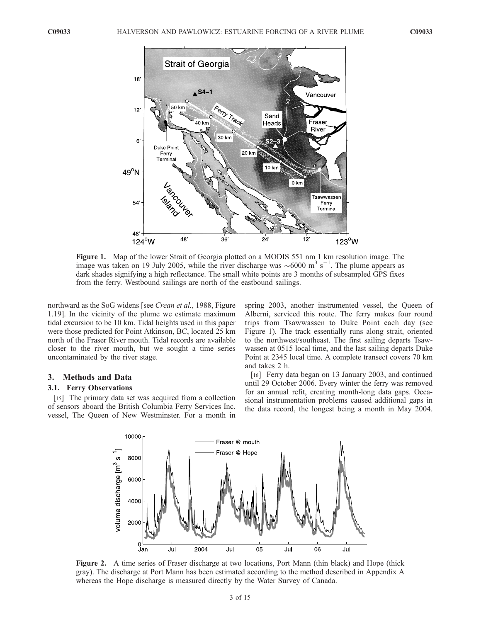

Figure 1. Map of the lower Strait of Georgia plotted on a MODIS 551 nm 1 km resolution image. The image was taken on 19 July 2005, while the river discharge was  $\sim 6000$  m<sup>3</sup> s<sup>-1</sup>. The plume appears as dark shades signifying a high reflectance. The small white points are 3 months of subsampled GPS fixes from the ferry. Westbound sailings are north of the eastbound sailings.

northward as the SoG widens [see Crean et al., 1988, Figure 1.19]. In the vicinity of the plume we estimate maximum tidal excursion to be 10 km. Tidal heights used in this paper were those predicted for Point Atkinson, BC, located 25 km north of the Fraser River mouth. Tidal records are available closer to the river mouth, but we sought a time series uncontaminated by the river stage.

### 3. Methods and Data

# 3.1. Ferry Observations

[15] The primary data set was acquired from a collection of sensors aboard the British Columbia Ferry Services Inc. vessel, The Queen of New Westminster. For a month in spring 2003, another instrumented vessel, the Queen of Alberni, serviced this route. The ferry makes four round trips from Tsawwassen to Duke Point each day (see Figure 1). The track essentially runs along strait, oriented to the northwest/southeast. The first sailing departs Tsawwassen at 0515 local time, and the last sailing departs Duke Point at 2345 local time. A complete transect covers 70 km and takes 2 h.

[16] Ferry data began on 13 January 2003, and continued until 29 October 2006. Every winter the ferry was removed for an annual refit, creating month-long data gaps. Occasional instrumentation problems caused additional gaps in the data record, the longest being a month in May 2004.



Figure 2. A time series of Fraser discharge at two locations, Port Mann (thin black) and Hope (thick gray). The discharge at Port Mann has been estimated according to the method described in Appendix A whereas the Hope discharge is measured directly by the Water Survey of Canada.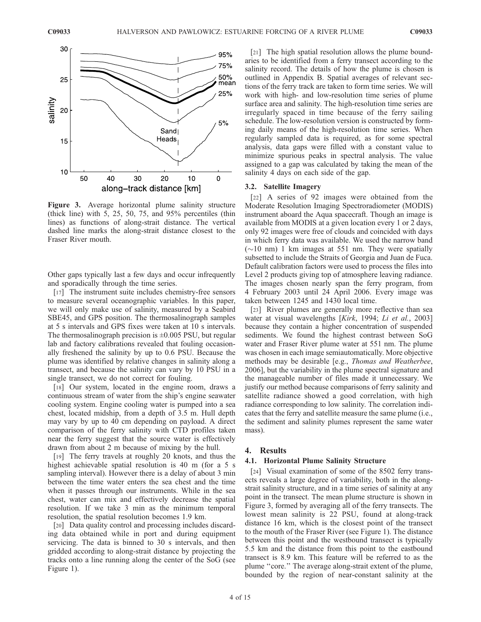

Figure 3. Average horizontal plume salinity structure (thick line) with  $5, 25, 50, 75,$  and  $95%$  percentiles (thin lines) as functions of along-strait distance. The vertical dashed line marks the along-strait distance closest to the Fraser River mouth.

Other gaps typically last a few days and occur infrequently and sporadically through the time series.

[17] The instrument suite includes chemistry-free sensors to measure several oceanographic variables. In this paper, we will only make use of salinity, measured by a Seabird SBE45, and GPS position. The thermosalinograph samples at 5 s intervals and GPS fixes were taken at 10 s intervals. The thermosalinograph precision is  $\pm 0.005$  PSU, but regular lab and factory calibrations revealed that fouling occasionally freshened the salinity by up to 0.6 PSU. Because the plume was identified by relative changes in salinity along a transect, and because the salinity can vary by 10 PSU in a single transect, we do not correct for fouling.

[18] Our system, located in the engine room, draws a continuous stream of water from the ship's engine seawater cooling system. Engine cooling water is pumped into a sea chest, located midship, from a depth of 3.5 m. Hull depth may vary by up to 40 cm depending on payload. A direct comparison of the ferry salinity with CTD profiles taken near the ferry suggest that the source water is effectively drawn from about 2 m because of mixing by the hull.

[19] The ferry travels at roughly 20 knots, and thus the highest achievable spatial resolution is 40 m (for a 5 s sampling interval). However there is a delay of about 3 min between the time water enters the sea chest and the time when it passes through our instruments. While in the sea chest, water can mix and effectively decrease the spatial resolution. If we take 3 min as the minimum temporal resolution, the spatial resolution becomes 1.9 km.

[20] Data quality control and processing includes discarding data obtained while in port and during equipment servicing. The data is binned to 30 s intervals, and then gridded according to along-strait distance by projecting the tracks onto a line running along the center of the SoG (see Figure 1).

[21] The high spatial resolution allows the plume boundaries to be identified from a ferry transect according to the salinity record. The details of how the plume is chosen is outlined in Appendix B. Spatial averages of relevant sections of the ferry track are taken to form time series. We will work with high- and low-resolution time series of plume surface area and salinity. The high-resolution time series are irregularly spaced in time because of the ferry sailing schedule. The low-resolution version is constructed by forming daily means of the high-resolution time series. When regularly sampled data is required, as for some spectral analysis, data gaps were filled with a constant value to minimize spurious peaks in spectral analysis. The value assigned to a gap was calculated by taking the mean of the salinity 4 days on each side of the gap.

#### 3.2. Satellite Imagery

[22] A series of 92 images were obtained from the Moderate Resolution Imaging Spectroradiometer (MODIS) instrument aboard the Aqua spacecraft. Though an image is available from MODIS at a given location every 1 or 2 days, only 92 images were free of clouds and coincided with days in which ferry data was available. We used the narrow band  $(\sim]10$  nm) 1 km images at 551 nm. They were spatially subsetted to include the Straits of Georgia and Juan de Fuca. Default calibration factors were used to process the files into Level 2 products giving top of atmosphere leaving radiance. The images chosen nearly span the ferry program, from 4 February 2003 until 24 April 2006. Every image was taken between 1245 and 1430 local time.

[23] River plumes are generally more reflective than sea water at visual wavelengths [Kirk, 1994; Li et al., 2003] because they contain a higher concentration of suspended sediments. We found the highest contrast between SoG water and Fraser River plume water at 551 nm. The plume was chosen in each image semiautomatically. More objective methods may be desirable [e.g., Thomas and Weatherbee, 2006], but the variability in the plume spectral signature and the manageable number of files made it unnecessary. We justify our method because comparisons of ferry salinity and satellite radiance showed a good correlation, with high radiance corresponding to low salinity. The correlation indicates that the ferry and satellite measure the same plume (i.e., the sediment and salinity plumes represent the same water mass).

# 4. Results

# 4.1. Horizontal Plume Salinity Structure

[24] Visual examination of some of the 8502 ferry transects reveals a large degree of variability, both in the alongstrait salinity structure, and in a time series of salinity at any point in the transect. The mean plume structure is shown in Figure 3, formed by averaging all of the ferry transects. The lowest mean salinity is 22 PSU, found at along-track distance 16 km, which is the closest point of the transect to the mouth of the Fraser River (see Figure 1). The distance between this point and the westbound transect is typically 5.5 km and the distance from this point to the eastbound transect is 8.9 km. This feature will be referred to as the plume ''core.'' The average along-strait extent of the plume, bounded by the region of near-constant salinity at the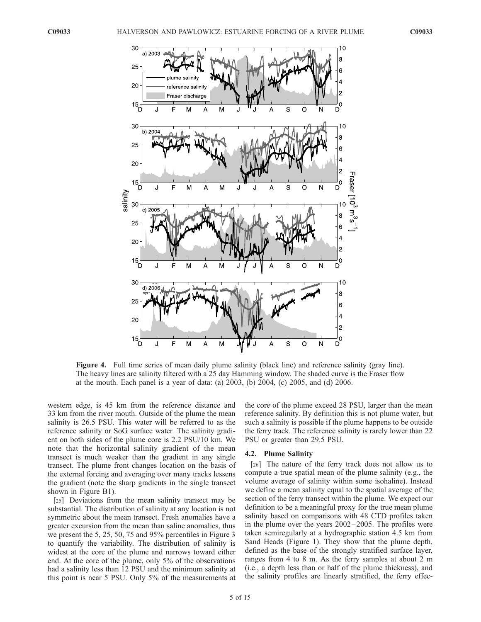

Figure 4. Full time series of mean daily plume salinity (black line) and reference salinity (gray line). The heavy lines are salinity filtered with a 25 day Hamming window. The shaded curve is the Fraser flow at the mouth. Each panel is a year of data: (a) 2003, (b) 2004, (c) 2005, and (d) 2006.

western edge, is 45 km from the reference distance and 33 km from the river mouth. Outside of the plume the mean salinity is 26.5 PSU. This water will be referred to as the reference salinity or SoG surface water. The salinity gradient on both sides of the plume core is 2.2 PSU/10 km. We note that the horizontal salinity gradient of the mean transect is much weaker than the gradient in any single transect. The plume front changes location on the basis of the external forcing and averaging over many tracks lessens the gradient (note the sharp gradients in the single transect shown in Figure B1).

[25] Deviations from the mean salinity transect may be substantial. The distribution of salinity at any location is not symmetric about the mean transect. Fresh anomalies have a greater excursion from the mean than saline anomalies, thus we present the 5, 25, 50, 75 and 95% percentiles in Figure 3 to quantify the variability. The distribution of salinity is widest at the core of the plume and narrows toward either end. At the core of the plume, only 5% of the observations had a salinity less than 12 PSU and the minimum salinity at this point is near 5 PSU. Only 5% of the measurements at

the core of the plume exceed 28 PSU, larger than the mean reference salinity. By definition this is not plume water, but such a salinity is possible if the plume happens to be outside the ferry track. The reference salinity is rarely lower than 22 PSU or greater than 29.5 PSU.

# 4.2. Plume Salinity

[26] The nature of the ferry track does not allow us to compute a true spatial mean of the plume salinity (e.g., the volume average of salinity within some isohaline). Instead we define a mean salinity equal to the spatial average of the section of the ferry transect within the plume. We expect our definition to be a meaningful proxy for the true mean plume salinity based on comparisons with 48 CTD profiles taken in the plume over the years 2002 – 2005. The profiles were taken semiregularly at a hydrographic station 4.5 km from Sand Heads (Figure 1). They show that the plume depth, defined as the base of the strongly stratified surface layer, ranges from 4 to 8 m. As the ferry samples at about 2 m (i.e., a depth less than or half of the plume thickness), and the salinity profiles are linearly stratified, the ferry effec-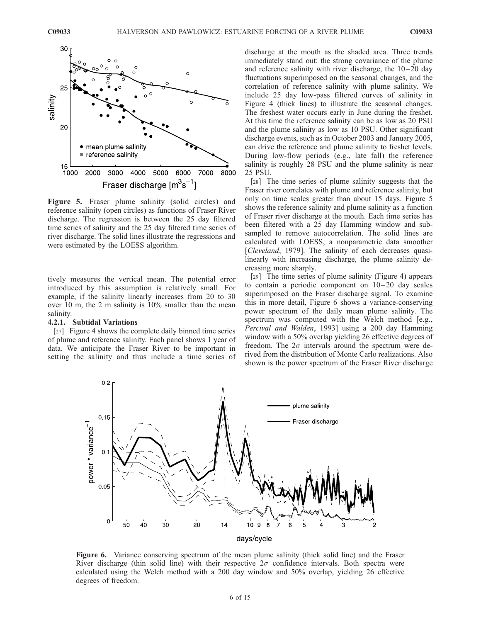

Figure 5. Fraser plume salinity (solid circles) and reference salinity (open circles) as functions of Fraser River discharge. The regression is between the 25 day filtered time series of salinity and the 25 day filtered time series of river discharge. The solid lines illustrate the regressions and were estimated by the LOESS algorithm.

tively measures the vertical mean. The potential error introduced by this assumption is relatively small. For example, if the salinity linearly increases from 20 to 30 over 10 m, the 2 m salinity is 10% smaller than the mean salinity.

#### 4.2.1. Subtidal Variations

[27] Figure 4 shows the complete daily binned time series of plume and reference salinity. Each panel shows 1 year of data. We anticipate the Fraser River to be important in setting the salinity and thus include a time series of

discharge at the mouth as the shaded area. Three trends immediately stand out: the strong covariance of the plume and reference salinity with river discharge, the  $10-20$  day fluctuations superimposed on the seasonal changes, and the correlation of reference salinity with plume salinity. We include 25 day low-pass filtered curves of salinity in Figure 4 (thick lines) to illustrate the seasonal changes. The freshest water occurs early in June during the freshet. At this time the reference salinity can be as low as 20 PSU and the plume salinity as low as 10 PSU. Other significant discharge events, such as in October 2003 and January 2005, can drive the reference and plume salinity to freshet levels. During low-flow periods (e.g., late fall) the reference salinity is roughly 28 PSU and the plume salinity is near 25 PSU.

[28] The time series of plume salinity suggests that the Fraser river correlates with plume and reference salinity, but only on time scales greater than about 15 days. Figure 5 shows the reference salinity and plume salinity as a function of Fraser river discharge at the mouth. Each time series has been filtered with a 25 day Hamming window and subsampled to remove autocorrelation. The solid lines are calculated with LOESS, a nonparametric data smoother [Cleveland, 1979]. The salinity of each decreases quasilinearly with increasing discharge, the plume salinity decreasing more sharply.

[29] The time series of plume salinity (Figure 4) appears to contain a periodic component on  $10-20$  day scales superimposed on the Fraser discharge signal. To examine this in more detail, Figure 6 shows a variance-conserving power spectrum of the daily mean plume salinity. The spectrum was computed with the Welch method [e.g., Percival and Walden, 1993] using a 200 day Hamming window with a 50% overlap yielding 26 effective degrees of freedom. The  $2\sigma$  intervals around the spectrum were derived from the distribution of Monte Carlo realizations. Also shown is the power spectrum of the Fraser River discharge



Figure 6. Variance conserving spectrum of the mean plume salinity (thick solid line) and the Fraser River discharge (thin solid line) with their respective  $2\sigma$  confidence intervals. Both spectra were calculated using the Welch method with a 200 day window and 50% overlap, yielding 26 effective degrees of freedom.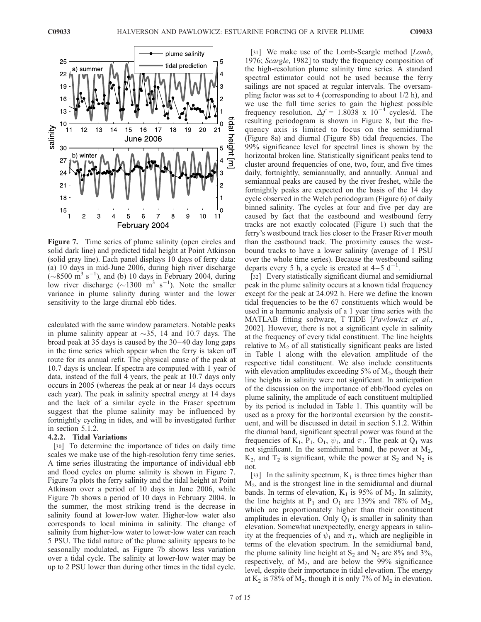

Figure 7. Time series of plume salinity (open circles and solid dark line) and predicted tidal height at Point Atkinson (solid gray line). Each panel displays 10 days of ferry data: (a) 10 days in mid-June 2006, during high river discharge  $(\sim 8500 \text{ m}^3 \text{ s}^{-1})$ , and (b) 10 days in February 2004, during low river discharge  $(\sim 1300 \text{ m}^3 \text{ s}^{-1})$ . Note the smaller variance in plume salinity during winter and the lower sensitivity to the large diurnal ebb tides.

calculated with the same window parameters. Notable peaks in plume salinity appear at  $\sim$ 35, 14 and 10.7 days. The broad peak at  $35$  days is caused by the  $30-40$  day long gaps in the time series which appear when the ferry is taken off route for its annual refit. The physical cause of the peak at 10.7 days is unclear. If spectra are computed with 1 year of data, instead of the full 4 years, the peak at 10.7 days only occurs in 2005 (whereas the peak at or near 14 days occurs each year). The peak in salinity spectral energy at 14 days and the lack of a similar cycle in the Fraser spectrum suggest that the plume salinity may be influenced by fortnightly cycling in tides, and will be investigated further in section 5.1.2.

### 4.2.2. Tidal Variations

[30] To determine the importance of tides on daily time scales we make use of the high-resolution ferry time series. A time series illustrating the importance of individual ebb and flood cycles on plume salinity is shown in Figure 7. Figure 7a plots the ferry salinity and the tidal height at Point Atkinson over a period of 10 days in June 2006, while Figure 7b shows a period of 10 days in February 2004. In the summer, the most striking trend is the decrease in salinity found at lower-low water. Higher-low water also corresponds to local minima in salinity. The change of salinity from higher-low water to lower-low water can reach 5 PSU. The tidal nature of the plume salinity appears to be seasonally modulated, as Figure 7b shows less variation over a tidal cycle. The salinity at lower-low water may be up to 2 PSU lower than during other times in the tidal cycle.

[31] We make use of the Lomb-Scargle method [*Lomb*, 1976; Scargle, 1982] to study the frequency composition of the high-resolution plume salinity time series. A standard spectral estimator could not be used because the ferry sailings are not spaced at regular intervals. The oversampling factor was set to 4 (corresponding to about 1/2 h), and we use the full time series to gain the highest possible frequency resolution,  $\Delta f = 1.8038 \times 10^{-4}$  cycles/d. The resulting periodogram is shown in Figure 8, but the frequency axis is limited to focus on the semidiurnal (Figure 8a) and diurnal (Figure 8b) tidal frequencies. The 99% significance level for spectral lines is shown by the horizontal broken line. Statistically significant peaks tend to cluster around frequencies of one, two, four, and five times daily, fortnightly, semiannually, and annually. Annual and semiannual peaks are caused by the river freshet, while the fortnightly peaks are expected on the basis of the 14 day cycle observed in the Welch periodogram (Figure 6) of daily binned salinity. The cycles at four and five per day are caused by fact that the eastbound and westbound ferry tracks are not exactly colocated (Figure 1) such that the ferry's westbound track lies closer to the Fraser River mouth than the eastbound track. The proximity causes the westbound tracks to have a lower salinity (average of 1 PSU over the whole time series). Because the westbound sailing departs every 5 h, a cycle is created at  $4-5$  d<sup>-1</sup>.

[32] Every statistically significant diurnal and semidiurnal peak in the plume salinity occurs at a known tidal frequency except for the peak at 24.092 h. Here we define the known tidal frequencies to be the 67 constituents which would be used in a harmonic analysis of a 1 year time series with the MATLAB fitting software, T\_TIDE [Pawlowicz et al., 2002]. However, there is not a significant cycle in salinity at the frequency of every tidal constituent. The line heights relative to  $M<sub>2</sub>$  of all statistically significant peaks are listed in Table 1 along with the elevation amplitude of the respective tidal constituent. We also include constituents with elevation amplitudes exceeding  $5\%$  of  $M_2$ , though their line heights in salinity were not significant. In anticipation of the discussion on the importance of ebb/flood cycles on plume salinity, the amplitude of each constituent multiplied by its period is included in Table 1. This quantity will be used as a proxy for the horizontal excursion by the constituent, and will be discussed in detail in section 5.1.2. Within the diurnal band, significant spectral power was found at the frequencies of K<sub>1</sub>, P<sub>1</sub>, O<sub>1</sub>,  $\psi_1$ , and  $\pi_1$ . The peak at Q<sub>1</sub> was not significant. In the semidiurnal band, the power at  $M_2$ ,  $K_2$ , and  $T_2$  is significant, while the power at  $S_2$  and  $N_2$  is not.

[33] In the salinity spectrum,  $K_1$  is three times higher than M2, and is the strongest line in the semidiurnal and diurnal bands. In terms of elevation,  $K_1$  is 95% of  $M_2$ . In salinity, the line heights at  $P_1$  and  $O_1$  are 139% and 78% of  $M_2$ , which are proportionately higher than their constituent amplitudes in elevation. Only  $Q_1$  is smaller in salinity than elevation. Somewhat unexpectedly, energy appears in salinity at the frequencies of  $\psi_1$  and  $\pi_1$ , which are negligible in terms of the elevation spectrum. In the semidiurnal band, the plume salinity line height at  $S_2$  and  $N_2$  are 8% and 3%, respectively, of  $M_2$ , and are below the 99% significance level, despite their importance in tidal elevation. The energy at  $K_2$  is 78% of  $M_2$ , though it is only 7% of  $M_2$  in elevation.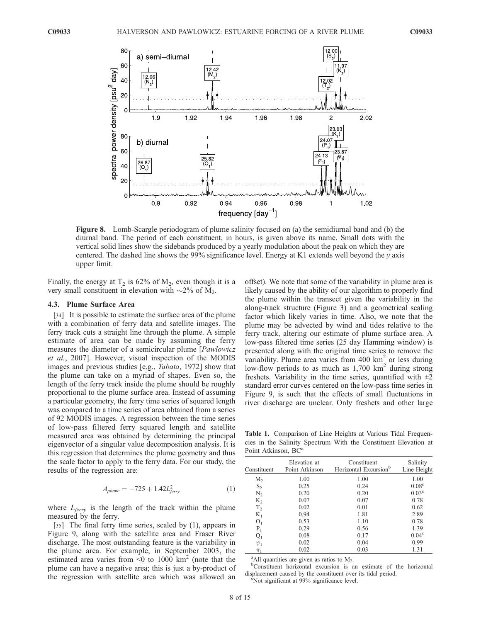

Figure 8. Lomb-Scargle periodogram of plume salinity focused on (a) the semidiurnal band and (b) the diurnal band. The period of each constituent, in hours, is given above its name. Small dots with the vertical solid lines show the sidebands produced by a yearly modulation about the peak on which they are centered. The dashed line shows the 99% significance level. Energy at K1 extends well beyond the y axis upper limit.

Finally, the energy at  $T_2$  is 62% of  $M_2$ , even though it is a very small constituent in elevation with  $\sim$ 2% of M<sub>2</sub>.

#### 4.3. Plume Surface Area

[34] It is possible to estimate the surface area of the plume with a combination of ferry data and satellite images. The ferry track cuts a straight line through the plume. A simple estimate of area can be made by assuming the ferry measures the diameter of a semicircular plume [Pawlowicz et al., 2007]. However, visual inspection of the MODIS images and previous studies [e.g., Tabata, 1972] show that the plume can take on a myriad of shapes. Even so, the length of the ferry track inside the plume should be roughly proportional to the plume surface area. Instead of assuming a particular geometry, the ferry time series of squared length was compared to a time series of area obtained from a series of 92 MODIS images. A regression between the time series of low-pass filtered ferry squared length and satellite measured area was obtained by determining the principal eigenvector of a singular value decomposition analysis. It is this regression that determines the plume geometry and thus the scale factor to apply to the ferry data. For our study, the results of the regression are:

$$
A_{plume} = -725 + 1.42L_{\text{ferry}}^2 \tag{1}
$$

where  $L_{ferry}$  is the length of the track within the plume measured by the ferry.

[35] The final ferry time series, scaled by (1), appears in Figure 9, along with the satellite area and Fraser River discharge. The most outstanding feature is the variability in the plume area. For example, in September 2003, the estimated area varies from  $\leq 0$  to 1000 km<sup>2</sup> (note that the plume can have a negative area; this is just a by-product of the regression with satellite area which was allowed an

offset). We note that some of the variability in plume area is likely caused by the ability of our algorithm to properly find the plume within the transect given the variability in the along-track structure (Figure 3) and a geometrical scaling factor which likely varies in time. Also, we note that the plume may be advected by wind and tides relative to the ferry track, altering our estimate of plume surface area. A low-pass filtered time series (25 day Hamming window) is presented along with the original time series to remove the variability. Plume area varies from  $400 \text{ km}^2$  or less during low-flow periods to as much as  $1,700 \text{ km}^2$  during strong freshets. Variability in the time series, quantified with  $\pm 2$ standard error curves centered on the low-pass time series in Figure 9, is such that the effects of small fluctuations in river discharge are unclear. Only freshets and other large

Table 1. Comparison of Line Heights at Various Tidal Frequencies in the Salinity Spectrum With the Constituent Elevation at Point Atkinson, BC<sup>a</sup>

| Constituent    | Elevation at<br>Point Atkinson | Constituent<br>Horizontal Excursion <sup>b</sup> | Salinity<br>Line Height |
|----------------|--------------------------------|--------------------------------------------------|-------------------------|
| $M_{2}$        | 1.00                           | 1.00                                             | 1.00                    |
| $S_2$          | 0.25                           | 0.24                                             | 0.08 <sup>c</sup>       |
| $N_2$          | 0.20                           | 0.20                                             | 0.03 <sup>c</sup>       |
| $K_2$          | 0.07                           | 0.07                                             | 0.78                    |
| T <sub>2</sub> | 0.02                           | 0.01                                             | 0.62                    |
| $K_1$          | 0.94                           | 1.81                                             | 2.89                    |
| O <sub>1</sub> | 0.53                           | 1.10                                             | 0.78                    |
| $P_1$          | 0.29                           | 0.56                                             | 1.39                    |
| $Q_1$          | 0.08                           | 0.17                                             | $0.04^{\circ}$          |
| $\psi_1$       | 0.02                           | 0.04                                             | 0.99                    |
| $\pi_1$        | 0.02                           | 0.03                                             | 1.31                    |

<sup>a</sup>All quantities are given as ratios to  $M_2$ .

Not significant at 99% significance level.

Constituent horizontal excursion is an estimate of the horizontal displacement caused by the constituent over its tidal period.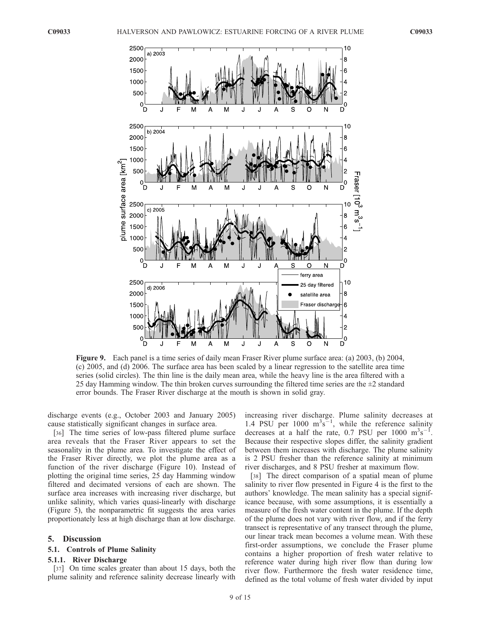

Figure 9. Each panel is a time series of daily mean Fraser River plume surface area: (a) 2003, (b) 2004, (c) 2005, and (d) 2006. The surface area has been scaled by a linear regression to the satellite area time series (solid circles). The thin line is the daily mean area, while the heavy line is the area filtered with a 25 day Hamming window. The thin broken curves surrounding the filtered time series are the  $\pm$ 2 standard error bounds. The Fraser River discharge at the mouth is shown in solid gray.

discharge events (e.g., October 2003 and January 2005) cause statistically significant changes in surface area.

[36] The time series of low-pass filtered plume surface area reveals that the Fraser River appears to set the seasonality in the plume area. To investigate the effect of the Fraser River directly, we plot the plume area as a function of the river discharge (Figure 10). Instead of plotting the original time series, 25 day Hamming window filtered and decimated versions of each are shown. The surface area increases with increasing river discharge, but unlike salinity, which varies quasi-linearly with discharge (Figure 5), the nonparametric fit suggests the area varies proportionately less at high discharge than at low discharge.

# 5. Discussion

#### 5.1. Controls of Plume Salinity

#### 5.1.1. River Discharge

[37] On time scales greater than about 15 days, both the plume salinity and reference salinity decrease linearly with

increasing river discharge. Plume salinity decreases at 1.4 PSU per  $1000 \text{ m}^3\text{s}^{-1}$ , while the reference salinity decreases at a half the rate, 0.7 PSU per 1000  $m^3s^{-1}$ . Because their respective slopes differ, the salinity gradient between them increases with discharge. The plume salinity is 2 PSU fresher than the reference salinity at minimum river discharges, and 8 PSU fresher at maximum flow.

[38] The direct comparison of a spatial mean of plume salinity to river flow presented in Figure 4 is the first to the authors' knowledge. The mean salinity has a special significance because, with some assumptions, it is essentially a measure of the fresh water content in the plume. If the depth of the plume does not vary with river flow, and if the ferry transect is representative of any transect through the plume, our linear track mean becomes a volume mean. With these first-order assumptions, we conclude the Fraser plume contains a higher proportion of fresh water relative to reference water during high river flow than during low river flow. Furthermore the fresh water residence time, defined as the total volume of fresh water divided by input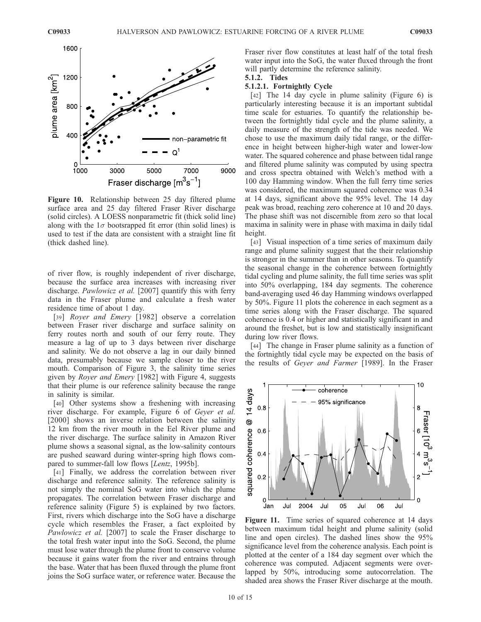

Figure 10. Relationship between 25 day filtered plume surface area and 25 day filtered Fraser River discharge (solid circles). A LOESS nonparametric fit (thick solid line) along with the  $1\sigma$  bootsrapped fit error (thin solid lines) is used to test if the data are consistent with a straight line fit (thick dashed line).

of river flow, is roughly independent of river discharge, because the surface area increases with increasing river discharge. Pawlowicz et al. [2007] quantify this with ferry data in the Fraser plume and calculate a fresh water residence time of about 1 day.

[39] Royer and Emery [1982] observe a correlation between Fraser river discharge and surface salinity on ferry routes north and south of our ferry route. They measure a lag of up to 3 days between river discharge and salinity. We do not observe a lag in our daily binned data, presumably because we sample closer to the river mouth. Comparison of Figure 3, the salinity time series given by Royer and Emery [1982] with Figure 4, suggests that their plume is our reference salinity because the range in salinity is similar.

[40] Other systems show a freshening with increasing river discharge. For example, Figure 6 of Geyer et al. [2000] shows an inverse relation between the salinity 12 km from the river mouth in the Eel River plume and the river discharge. The surface salinity in Amazon River plume shows a seasonal signal, as the low-salinity contours are pushed seaward during winter-spring high flows compared to summer-fall low flows [Lentz, 1995b].

[41] Finally, we address the correlation between river discharge and reference salinity. The reference salinity is not simply the nominal SoG water into which the plume propagates. The correlation between Fraser discharge and reference salinity (Figure 5) is explained by two factors. First, rivers which discharge into the SoG have a discharge cycle which resembles the Fraser, a fact exploited by Pawlowicz et al. [2007] to scale the Fraser discharge to the total fresh water input into the SoG. Second, the plume must lose water through the plume front to conserve volume because it gains water from the river and entrains through the base. Water that has been fluxed through the plume front joins the SoG surface water, or reference water. Because the

Fraser river flow constitutes at least half of the total fresh water input into the SoG, the water fluxed through the front will partly determine the reference salinity. 5.1.2. Tides

# 5.1.2.1. Fortnightly Cycle

[42] The 14 day cycle in plume salinity (Figure 6) is particularly interesting because it is an important subtidal time scale for estuaries. To quantify the relationship between the fortnightly tidal cycle and the plume salinity, a daily measure of the strength of the tide was needed. We chose to use the maximum daily tidal range, or the difference in height between higher-high water and lower-low water. The squared coherence and phase between tidal range and filtered plume salinity was computed by using spectra and cross spectra obtained with Welch's method with a 100 day Hamming window. When the full ferry time series was considered, the maximum squared coherence was 0.34 at 14 days, significant above the 95% level. The 14 day peak was broad, reaching zero coherence at 10 and 20 days. The phase shift was not discernible from zero so that local maxima in salinity were in phase with maxima in daily tidal height.

[43] Visual inspection of a time series of maximum daily range and plume salinity suggest that the their relationship is stronger in the summer than in other seasons. To quantify the seasonal change in the coherence between fortnightly tidal cycling and plume salinity, the full time series was split into 50% overlapping, 184 day segments. The coherence band-averaging used 46 day Hamming windows overlapped by 50%. Figure 11 plots the coherence in each segment as a time series along with the Fraser discharge. The squared coherence is 0.4 or higher and statistically significant in and around the freshet, but is low and statistically insignificant during low river flows.

[44] The change in Fraser plume salinity as a function of the fortnightly tidal cycle may be expected on the basis of the results of Geyer and Farmer [1989]. In the Fraser



Figure 11. Time series of squared coherence at 14 days between maximum tidal height and plume salinity (solid line and open circles). The dashed lines show the 95% significance level from the coherence analysis. Each point is plotted at the center of a 184 day segment over which the coherence was computed. Adjacent segments were overlapped by 50%, introducing some autocorrelation. The shaded area shows the Fraser River discharge at the mouth.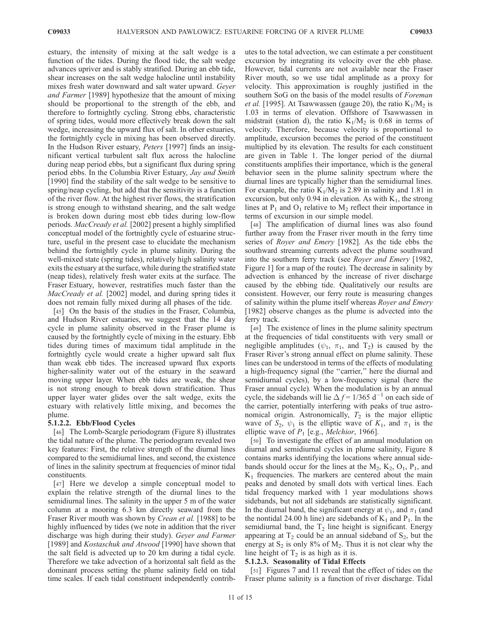estuary, the intensity of mixing at the salt wedge is a function of the tides. During the flood tide, the salt wedge advances upriver and is stably stratified. During an ebb tide, shear increases on the salt wedge halocline until instability mixes fresh water downward and salt water upward. Geyer and Farmer [1989] hypothesize that the amount of mixing should be proportional to the strength of the ebb, and therefore to fortnightly cycling. Strong ebbs, characteristic of spring tides, would more effectively break down the salt wedge, increasing the upward flux of salt. In other estuaries, the fortnightly cycle in mixing has been observed directly. In the Hudson River estuary, *Peters* [1997] finds an insignificant vertical turbulent salt flux across the halocline during neap period ebbs, but a significant flux during spring period ebbs. In the Columbia River Estuary, Jay and Smith [1990] find the stability of the salt wedge to be sensitive to spring/neap cycling, but add that the sensitivity is a function of the river flow. At the highest river flows, the stratification is strong enough to withstand shearing, and the salt wedge is broken down during most ebb tides during low-flow periods. MacCready et al. [2002] present a highly simplified conceptual model of the fortnightly cycle of estuarine structure, useful in the present case to elucidate the mechanism behind the fortnightly cycle in plume salinity. During the well-mixed state (spring tides), relatively high salinity water exits the estuary at the surface, while during the stratified state (neap tides), relatively fresh water exits at the surface. The Fraser Estuary, however, restratifies much faster than the MacCready et al. [2002] model, and during spring tides it does not remain fully mixed during all phases of the tide.

[45] On the basis of the studies in the Fraser, Columbia, and Hudson River estuaries, we suggest that the 14 day cycle in plume salinity observed in the Fraser plume is caused by the fortnightly cycle of mixing in the estuary. Ebb tides during times of maximum tidal amplitude in the fortnightly cycle would create a higher upward salt flux than weak ebb tides. The increased upward flux exports higher-salinity water out of the estuary in the seaward moving upper layer. When ebb tides are weak, the shear is not strong enough to break down stratification. Thus upper layer water glides over the salt wedge, exits the estuary with relatively little mixing, and becomes the plume.

# 5.1.2.2. Ebb/Flood Cycles

[46] The Lomb-Scargle periodogram (Figure 8) illustrates the tidal nature of the plume. The periodogram revealed two key features: First, the relative strength of the diurnal lines compared to the semidiurnal lines, and second, the existence of lines in the salinity spectrum at frequencies of minor tidal constituents.

[47] Here we develop a simple conceptual model to explain the relative strength of the diurnal lines to the semidiurnal lines. The salinity in the upper 5 m of the water column at a mooring 6.3 km directly seaward from the Fraser River mouth was shown by Crean et al. [1988] to be highly influenced by tides (we note in addition that the river discharge was high during their study). Geyer and Farmer [1989] and Kostaschuk and Atwood [1990] have shown that the salt field is advected up to 20 km during a tidal cycle. Therefore we take advection of a horizontal salt field as the dominant process setting the plume salinity field on tidal time scales. If each tidal constituent independently contributes to the total advection, we can estimate a per constituent excursion by integrating its velocity over the ebb phase. However, tidal currents are not available near the Fraser River mouth, so we use tidal amplitude as a proxy for velocity. This approximation is roughly justified in the southern SoG on the basis of the model results of Foreman *et al.* [1995]. At Tsawwassen (gauge 20), the ratio  $K_1/M_2$  is 1.03 in terms of elevation. Offshore of Tsawwassen in midstrait (station d), the ratio  $K_1/M_2$  is 0.68 in terms of velocity. Therefore, because velocity is proportional to amplitude, excursion becomes the period of the constituent multiplied by its elevation. The results for each constituent are given in Table 1. The longer period of the diurnal constituents amplifies their importance, which is the general behavior seen in the plume salinity spectrum where the diurnal lines are typically higher than the semidiurnal lines. For example, the ratio  $K_1/M_2$  is 2.89 in salinity and 1.81 in excursion, but only 0.94 in elevation. As with  $K_1$ , the strong lines at  $P_1$  and  $O_1$  relative to  $M_2$  reflect their importance in terms of excursion in our simple model.

[48] The amplification of diurnal lines was also found further away from the Fraser river mouth in the ferry time series of Royer and Emery [1982]. As the tide ebbs the southward streaming currents advect the plume southward into the southern ferry track (see Royer and Emery [1982, Figure 1] for a map of the route). The decrease in salinity by advection is enhanced by the increase of river discharge caused by the ebbing tide. Qualitatively our results are consistent. However, our ferry route is measuring changes of salinity within the plume itself whereas Royer and Emery [1982] observe changes as the plume is advected into the ferry track.

[49] The existence of lines in the plume salinity spectrum at the frequencies of tidal constituents with very small or negligible amplitudes ( $\psi_1$ ,  $\pi_1$ , and T<sub>2</sub>) is caused by the Fraser River's strong annual effect on plume salinity. These lines can be understood in terms of the effects of modulating a high-frequency signal (the ''carrier,'' here the diurnal and semidiurnal cycles), by a low-frequency signal (here the Fraser annual cycle). When the modulation is by an annual cycle, the sidebands will lie  $\Delta f = 1/365 \text{ d}^{-1}$  on each side of the carrier, potentially interfering with peaks of true astronomical origin. Astronomically,  $T_2$  is the major elliptic wave of  $S_2$ ,  $\psi_1$  is the elliptic wave of  $K_1$ , and  $\pi_1$  is the elliptic wave of  $P_1$  [e.g., *Melchior*, 1966].

[50] To investigate the effect of an annual modulation on diurnal and semidiurnal cycles in plume salinity, Figure 8 contains marks identifying the locations where annual sidebands should occur for the lines at the  $M_2$ ,  $K_2$ ,  $O_1$ ,  $P_1$ , and  $K_1$  frequencies. The markers are centered about the main peaks and denoted by small dots with vertical lines. Each tidal frequency marked with 1 year modulations shows sidebands, but not all sidebands are statistically significant. In the diurnal band, the significant energy at  $\psi_1$ , and  $\pi_1$  (and the nontidal 24.00 h line) are sidebands of  $K_1$  and  $P_1$ . In the semidiurnal band, the  $T_2$  line height is significant. Energy appearing at  $T_2$  could be an annual sideband of  $S_2$ , but the energy at  $S_2$  is only 8% of  $M_2$ . Thus it is not clear why the line height of  $T_2$  is as high as it is.

#### 5.1.2.3. Seasonality of Tidal Effects

[51] Figures 7 and 11 reveal that the effect of tides on the Fraser plume salinity is a function of river discharge. Tidal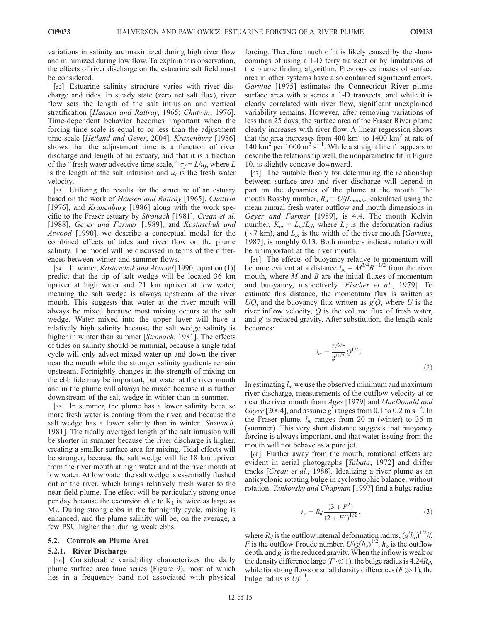variations in salinity are maximized during high river flow and minimized during low flow. To explain this observation, the effects of river discharge on the estuarine salt field must be considered.

[52] Estuarine salinity structure varies with river discharge and tides. In steady state (zero net salt flux), river flow sets the length of the salt intrusion and vertical stratification [Hansen and Rattray, 1965; Chatwin, 1976]. Time-dependent behavior becomes important when the forcing time scale is equal to or less than the adjustment time scale [Hetland and Geyer, 2004]. Kranenburg [1986] shows that the adjustment time is a function of river discharge and length of an estuary, and that it is a fraction of the "fresh water advective time scale,"  $\tau_f = L/u_f$ , where L is the length of the salt intrusion and  $u_f$  is the fresh water velocity.

[53] Utilizing the results for the structure of an estuary based on the work of Hansen and Rattray [1965], Chatwin [1976], and *Kranenburg* [1986] along with the work specific to the Fraser estuary by Stronach [1981], Crean et al. [1988], Geyer and Farmer [1989], and Kostaschuk and Atwood [1990], we describe a conceptual model for the combined effects of tides and river flow on the plume salinity. The model will be discussed in terms of the differences between winter and summer flows.

[54] In winter, *Kostaschuk and Atwood* [1990, equation (1)] predict that the tip of salt wedge will be located 36 km upriver at high water and 21 km upriver at low water, meaning the salt wedge is always upstream of the river mouth. This suggests that water at the river mouth will always be mixed because most mixing occurs at the salt wedge. Water mixed into the upper layer will have a relatively high salinity because the salt wedge salinity is higher in winter than summer [Stronach, 1981]. The effects of tides on salinity should be minimal, because a single tidal cycle will only advect mixed water up and down the river near the mouth while the stronger salinity gradients remain upstream. Fortnightly changes in the strength of mixing on the ebb tide may be important, but water at the river mouth and in the plume will always be mixed because it is further downstream of the salt wedge in winter than in summer.

[55] In summer, the plume has a lower salinity because more fresh water is coming from the river, and because the salt wedge has a lower salinity than in winter [Stronach, 1981]. The tidally averaged length of the salt intrusion will be shorter in summer because the river discharge is higher, creating a smaller surface area for mixing. Tidal effects will be stronger, because the salt wedge will lie 18 km upriver from the river mouth at high water and at the river mouth at low water. At low water the salt wedge is essentially flushed out of the river, which brings relatively fresh water to the near-field plume. The effect will be particularly strong once per day because the excursion due to  $K_1$  is twice as large as  $M<sub>2</sub>$ . During strong ebbs in the fortnightly cycle, mixing is enhanced, and the plume salinity will be, on the average, a few PSU higher than during weak ebbs.

### 5.2. Controls on Plume Area

#### 5.2.1. River Discharge

[56] Considerable variability characterizes the daily plume surface area time series (Figure 9), most of which lies in a frequency band not associated with physical

forcing. Therefore much of it is likely caused by the shortcomings of using a 1-D ferry transect or by limitations of the plume finding algorithm. Previous estimates of surface area in other systems have also contained significant errors. Garvine [1975] estimates the Connecticut River plume surface area with a series a 1-D transects, and while it is clearly correlated with river flow, significant unexplained variability remains. However, after removing variations of less than 25 days, the surface area of the Fraser River plume clearly increases with river flow. A linear regression shows that the area increases from 400  $\text{km}^2$  to 1400  $\text{km}^2$  at rate of 140 km<sup>2</sup> per 1000 m<sup>3</sup> s<sup>-1</sup>. While a straight line fit appears to describe the relationship well, the nonparametric fit in Figure 10, is slightly concave downward.

[57] The suitable theory for determining the relationship between surface area and river discharge will depend in part on the dynamics of the plume at the mouth. The mouth Rossby number,  $R_o = U/fL_{mouth}$ , calculated using the mean annual fresh water outflow and mouth dimensions in Geyer and Farmer [1989], is 4.4. The mouth Kelvin number,  $K_m = L_m/L_d$ , where  $L_d$  is the deformation radius ( $\sim$ 7 km), and  $L_m$  is the width of the river mouth [*Garvine*, 1987], is roughly 0.13. Both numbers indicate rotation will be unimportant at the river mouth.

[58] The effects of buoyancy relative to momentum will become evident at a distance  $l_m = M^{3/4}B^{-1/2}$  from the river mouth, where  $M$  and  $B$  are the initial fluxes of momentum and buoyancy, respectively [Fischer et al., 1979]. To estimate this distance, the momentum flux is written as UQ, and the buoyancy flux written as  $g'Q$ , where U is the river inflow velocity,  $Q$  is the volume flux of fresh water, and  $g'$  is reduced gravity. After substitution, the length scale becomes:

$$
l_m = \frac{U^{3/4}}{g'^{1/2}} Q^{1/4}.
$$
\n(2)

In estimating  $l_m$  we use the observed minimum and maximum river discharge, measurements of the outflow velocity at or near the river mouth from Ages [1979] and MacDonald and Geyer [2004], and assume g' ranges from 0.1 to 0.2 m s<sup>-2</sup>. In the Fraser plume,  $l_m$  ranges from 20 m (winter) to 36 m (summer). This very short distance suggests that buoyancy forcing is always important, and that water issuing from the mouth will not behave as a pure jet.

[60] Further away from the mouth, rotational effects are evident in aerial photographs [*Tabata*, 1972] and drifter tracks [Crean et al., 1988]. Idealizing a river plume as an anticyclonic rotating bulge in cyclostrophic balance, without rotation, Yankovsky and Chapman [1997] find a bulge radius

$$
r_s = R_d \frac{(3 + F^2)}{(2 + F^2)^{1/2}},\tag{3}
$$

where  $R_d$  is the outflow internal deformation radius,  $(g'h_o)^{1/2}/f$ , F is the outflow Froude number,  $U/(g'h<sub>o</sub>)^{1/2}$ ,  $h<sub>o</sub>$  is the outflow depth, and  $g'$  is the reduced gravity. When the inflow is weak or the density difference large ( $F \ll 1$ ), the bulge radius is 4.24 $R_d$ , while for strong flows or small density differences ( $F \gg 1$ ), the bulge radius is  $Uf^{-1}$ .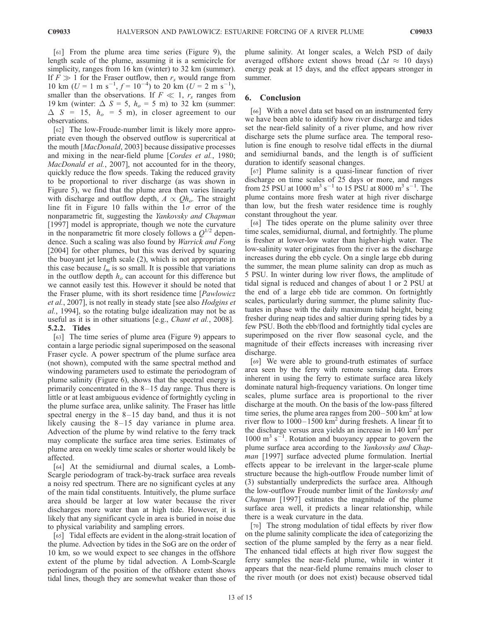[61] From the plume area time series (Figure 9), the length scale of the plume, assuming it is a semicircle for simplicity, ranges from 16 km (winter) to 32 km (summer). If  $F \gg 1$  for the Fraser outflow, then  $r_s$  would range from 10 km (U = 1 m s<sup>-1</sup>, f = 10<sup>-4</sup>) to 20 km (U = 2 m s<sup>-1</sup>), smaller than the observations. If  $F \ll 1$ ,  $r_s$  ranges from 19 km (winter:  $\Delta S = 5$ ,  $h<sub>o</sub> = 5$  m) to 32 km (summer:  $\Delta$  S = 15,  $h_o$  = 5 m), in closer agreement to our observations.

[62] The low-Froude-number limit is likely more appropriate even though the observed outflow is supercritical at the mouth [MacDonald, 2003] because dissipative processes and mixing in the near-field plume [Cordes et al., 1980; MacDonald et al., 2007], not accounted for in the theory, quickly reduce the flow speeds. Taking the reduced gravity to be proportional to river discharge (as was shown in Figure 5), we find that the plume area then varies linearly with discharge and outflow depth,  $A \propto Qh_o$ . The straight line fit in Figure 10 falls within the  $1\sigma$  error of the nonparametric fit, suggesting the Yankovsky and Chapman [1997] model is appropriate, though we note the curvature in the nonparametric fit more closely follows a  $Q^{1/2}$  dependence. Such a scaling was also found by Warrick and Fong [2004] for other plumes, but this was derived by squaring the buoyant jet length scale (2), which is not appropriate in this case because  $l_m$  is so small. It is possible that variations in the outflow depth  $h<sub>o</sub>$  can account for this difference but we cannot easily test this. However it should be noted that the Fraser plume, with its short residence time [Pawlowicz et al., 2007], is not really in steady state [see also Hodgins et al., 1994], so the rotating bulge idealization may not be as useful as it is in other situations [e.g., Chant et al., 2008]. 5.2.2. Tides

[63] The time series of plume area (Figure 9) appears to contain a large periodic signal superimposed on the seasonal Fraser cycle. A power spectrum of the plume surface area (not shown), computed with the same spectral method and windowing parameters used to estimate the periodogram of plume salinity (Figure 6), shows that the spectral energy is primarily concentrated in the  $8-15$  day range. Thus there is little or at least ambiguous evidence of fortnightly cycling in the plume surface area, unlike salinity. The Fraser has little spectral energy in the  $8-15$  day band, and thus it is not likely causing the 8–15 day variance in plume area. Advection of the plume by wind relative to the ferry track may complicate the surface area time series. Estimates of plume area on weekly time scales or shorter would likely be affected.

[64] At the semidiurnal and diurnal scales, a Lomb-Scargle periodogram of track-by-track surface area reveals a noisy red spectrum. There are no significant cycles at any of the main tidal constituents. Intuitively, the plume surface area should be larger at low water because the river discharges more water than at high tide. However, it is likely that any significant cycle in area is buried in noise due to physical variability and sampling errors.

[65] Tidal effects are evident in the along-strait location of the plume. Advection by tides in the SoG are on the order of 10 km, so we would expect to see changes in the offshore extent of the plume by tidal advection. A Lomb-Scargle periodogram of the position of the offshore extent shows tidal lines, though they are somewhat weaker than those of

plume salinity. At longer scales, a Welch PSD of daily averaged offshore extent shows broad ( $\Delta t \approx 10$  days) energy peak at 15 days, and the effect appears stronger in summer.

# 6. Conclusion

[66] With a novel data set based on an instrumented ferry we have been able to identify how river discharge and tides set the near-field salinity of a river plume, and how river discharge sets the plume surface area. The temporal resolution is fine enough to resolve tidal effects in the diurnal and semidiurnal bands, and the length is of sufficient duration to identify seasonal changes.

[67] Plume salinity is a quasi-linear function of river discharge on time scales of 25 days or more, and ranges from 25 PSU at 1000  $\text{m}^3 \text{ s}^{-1}$  to 15 PSU at 8000  $\text{m}^3 \text{ s}^{-1}$ . The plume contains more fresh water at high river discharge than low, but the fresh water residence time is roughly constant throughout the year.

[68] The tides operate on the plume salinity over three time scales, semidiurnal, diurnal, and fortnightly. The plume is fresher at lower-low water than higher-high water. The low-salinity water originates from the river as the discharge increases during the ebb cycle. On a single large ebb during the summer, the mean plume salinity can drop as much as 5 PSU. In winter during low river flows, the amplitude of tidal signal is reduced and changes of about 1 or 2 PSU at the end of a large ebb tide are common. On fortnightly scales, particularly during summer, the plume salinity fluctuates in phase with the daily maximum tidal height, being fresher during neap tides and saltier during spring tides by a few PSU. Both the ebb/flood and fortnightly tidal cycles are superimposed on the river flow seasonal cycle, and the magnitude of their effects increases with increasing river discharge.

[69] We were able to ground-truth estimates of surface area seen by the ferry with remote sensing data. Errors inherent in using the ferry to estimate surface area likely dominate natural high-frequency variations. On longer time scales, plume surface area is proportional to the river discharge at the mouth. On the basis of the low-pass filtered time series, the plume area ranges from  $200-500$  km<sup>2</sup> at low river flow to  $1000 - 1500$  km<sup>2</sup> during freshets. A linear fit to the discharge versus area yields an increase in  $140 \text{ km}^2$  per  $1000 \text{ m}^3 \text{ s}^{-1}$ . Rotation and buoyancy appear to govern the plume surface area according to the Yankovsky and Chapman [1997] surface advected plume formulation. Inertial effects appear to be irrelevant in the larger-scale plume structure because the high-outflow Froude number limit of (3) substantially underpredicts the surface area. Although the low-outflow Froude number limit of the Yankovsky and Chapman [1997] estimates the magnitude of the plume surface area well, it predicts a linear relationship, while there is a weak curvature in the data.

[70] The strong modulation of tidal effects by river flow on the plume salinity complicate the idea of categorizing the section of the plume sampled by the ferry as a near field. The enhanced tidal effects at high river flow suggest the ferry samples the near-field plume, while in winter it appears that the near-field plume remains much closer to the river mouth (or does not exist) because observed tidal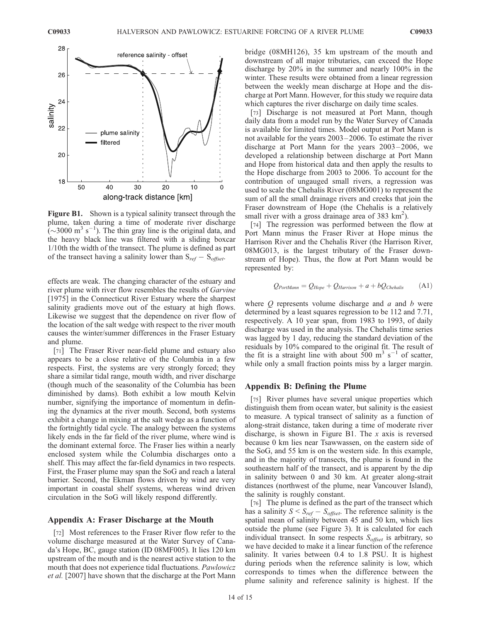

Figure B1. Shown is a typical salinity transect through the plume, taken during a time of moderate river discharge  $(\sim]3000 \text{ m}^3 \text{ s}^{-1}$ ). The thin gray line is the original data, and the heavy black line was filtered with a sliding boxcar 1/10th the width of the transect. The plume is defined as part of the transect having a salinity lower than  $S_{ref} - S_{offset}$ .

effects are weak. The changing character of the estuary and river plume with river flow resembles the results of Garvine [1975] in the Connecticut River Estuary where the sharpest salinity gradients move out of the estuary at high flows. Likewise we suggest that the dependence on river flow of the location of the salt wedge with respect to the river mouth causes the winter/summer differences in the Fraser Estuary and plume.

[71] The Fraser River near-field plume and estuary also appears to be a close relative of the Columbia in a few respects. First, the systems are very strongly forced; they share a similar tidal range, mouth width, and river discharge (though much of the seasonality of the Columbia has been diminished by dams). Both exhibit a low mouth Kelvin number, signifying the importance of momentum in defining the dynamics at the river mouth. Second, both systems exhibit a change in mixing at the salt wedge as a function of the fortnightly tidal cycle. The analogy between the systems likely ends in the far field of the river plume, where wind is the dominant external force. The Fraser lies within a nearly enclosed system while the Columbia discharges onto a shelf. This may affect the far-field dynamics in two respects. First, the Fraser plume may span the SoG and reach a lateral barrier. Second, the Ekman flows driven by wind are very important in coastal shelf systems, whereas wind driven circulation in the SoG will likely respond differently.

### Appendix A: Fraser Discharge at the Mouth

[72] Most references to the Fraser River flow refer to the volume discharge measured at the Water Survey of Canada's Hope, BC, gauge station (ID 08MF005). It lies 120 km upstream of the mouth and is the nearest active station to the mouth that does not experience tidal fluctuations. Pawlowicz et al. [2007] have shown that the discharge at the Port Mann bridge (08MH126), 35 km upstream of the mouth and downstream of all major tributaries, can exceed the Hope discharge by 20% in the summer and nearly 100% in the winter. These results were obtained from a linear regression between the weekly mean discharge at Hope and the discharge at Port Mann. However, for this study we require data which captures the river discharge on daily time scales.

[73] Discharge is not measured at Port Mann, though daily data from a model run by the Water Survey of Canada is available for limited times. Model output at Port Mann is not available for the years 2003 – 2006. To estimate the river discharge at Port Mann for the years 2003 – 2006, we developed a relationship between discharge at Port Mann and Hope from historical data and then apply the results to the Hope discharge from 2003 to 2006. To account for the contribution of ungauged small rivers, a regression was used to scale the Chehalis River (08MG001) to represent the sum of all the small drainage rivers and creeks that join the Fraser downstream of Hope (the Chehalis is a relatively small river with a gross drainage area of 383  $\text{km}^2$ ).

[74] The regression was performed between the flow at Port Mann minus the Fraser River at Hope minus the Harrison River and the Chehalis River (the Harrison River, 08MG013, is the largest tributary of the Fraser downstream of Hope). Thus, the flow at Port Mann would be represented by:

$$
Q_{PortMann} = Q_{Hope} + Q_{Harrison} + a + bQ_{Chehalis}
$$
 (A1)

where  $Q$  represents volume discharge and  $a$  and  $b$  were determined by a least squares regression to be 112 and 7.71, respectively. A 10 year span, from 1983 to 1993, of daily discharge was used in the analysis. The Chehalis time series was lagged by 1 day, reducing the standard deviation of the residuals by 10% compared to the original fit. The result of the fit is a straight line with about  $500 \text{ m}^3 \text{ s}^{-1}$  of scatter, while only a small fraction points miss by a larger margin.

# Appendix B: Defining the Plume

[75] River plumes have several unique properties which distinguish them from ocean water, but salinity is the easiest to measure. A typical transect of salinity as a function of along-strait distance, taken during a time of moderate river discharge, is shown in Figure B1. The  $x$  axis is reversed because 0 km lies near Tsawwassen, on the eastern side of the SoG, and 55 km is on the western side. In this example, and in the majority of transects, the plume is found in the southeastern half of the transect, and is apparent by the dip in salinity between 0 and 30 km. At greater along-strait distances (northwest of the plume, near Vancouver Island), the salinity is roughly constant.

[76] The plume is defined as the part of the transect which has a salinity  $S \leq S_{ref} - S_{offset}$ . The reference salinity is the spatial mean of salinity between 45 and 50 km, which lies outside the plume (see Figure 3). It is calculated for each individual transect. In some respects  $S_{offset}$  is arbitrary, so we have decided to make it a linear function of the reference salinity. It varies between 0.4 to 1.8 PSU. It is highest during periods when the reference salinity is low, which corresponds to times when the difference between the plume salinity and reference salinity is highest. If the